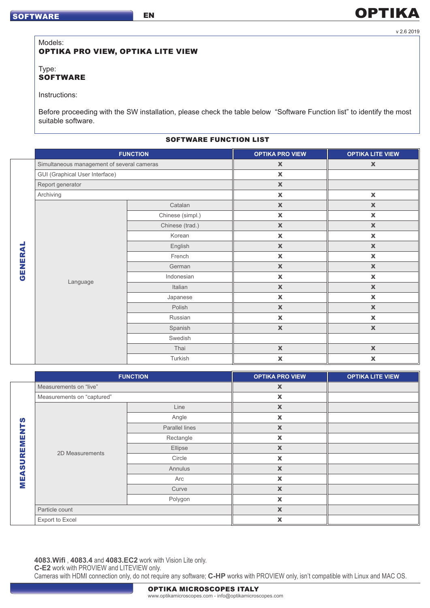### Models: OPTIKA PRO VIEW, OPTIKA LITE VIEW

EN

Type: **SOFTWARE** 

Instructions:

Before proceeding with the SW installation, please check the table below "Software Function list" to identify the most suitable software.

## SOFTWARE FUNCTION LIST

|                |                                            | <b>FUNCTION</b>  | <b>OPTIKA PRO VIEW</b> | <b>OPTIKA LITE VIEW</b>   |
|----------------|--------------------------------------------|------------------|------------------------|---------------------------|
| <b>GENERAL</b> | Simultaneous management of several cameras |                  | $\mathbf x$            | $\mathbf x$               |
|                | <b>GUI (Graphical User Interface)</b>      |                  | $\pmb{\mathsf{X}}$     |                           |
|                | Report generator                           |                  | $\mathbf x$            |                           |
|                | Archiving                                  |                  | $\mathbf x$            | $\mathbf x$               |
|                | Language                                   | Catalan          | $\mathbb X$            | $\mathbb X$               |
|                |                                            | Chinese (simpl.) | $\mathbf x$            | $\mathbf x$               |
|                |                                            | Chinese (trad.)  | $\mathbb X$            | $\mathbb X$               |
|                |                                            | Korean           | $\pmb{\mathsf{X}}$     | $\pmb{\mathsf{X}}$        |
|                |                                            | English          | $\mathbb X$            | $\mathbf X$               |
|                |                                            | French           | $\pmb{\mathsf{X}}$     | $\mathbf x$               |
|                |                                            | German           | $\mathbf x$            | $\mathbf x$               |
|                |                                            | Indonesian       | $\mathbf x$            | $\mathbf x$               |
|                |                                            | Italian          | $\mathbf x$            | $\mathbf x$               |
|                |                                            | Japanese         | $\pmb{\mathsf{X}}$     | $\pmb{\mathsf{X}}$        |
|                |                                            | Polish           | $\mathbb X$            | $\mathbf x$               |
|                |                                            | Russian          | $\pmb{\mathsf{X}}$     | $\pmb{\mathsf{X}}$        |
|                |                                            | Spanish          | $\mathbb X$            | $\mathbf x$               |
|                |                                            | Swedish          |                        |                           |
|                |                                            | Thai             | $\mathbb X$            | $\mathbf x$               |
|                |                                            | Turkish          | $\mathbf x$            | $\boldsymbol{\mathsf{x}}$ |

|              | <b>FUNCTION</b>            |                | <b>OPTIKA PRO VIEW</b>    | <b>OPTIKA LITE VIEW</b> |
|--------------|----------------------------|----------------|---------------------------|-------------------------|
|              | Measurements on "live"     |                | $\pmb{\mathsf{X}}$        |                         |
|              | Measurements on "captured" |                | $\pmb{\mathsf{X}}$        |                         |
|              | 2D Measurements            | Line           | $\boldsymbol{\mathsf{X}}$ |                         |
| S            |                            | Angle          | $\pmb{\mathsf{X}}$        |                         |
|              |                            | Parallel lines | $\boldsymbol{\mathsf{X}}$ |                         |
| REMENT       |                            | Rectangle      | $\boldsymbol{\mathsf{x}}$ |                         |
|              |                            | Ellipse        | $\mathbf x$               |                         |
|              |                            | Circle         | $\pmb{\times}$            |                         |
| <b>MEASU</b> |                            | Annulus        | $\mathbb X$               |                         |
|              |                            | Arc            | $\pmb{\times}$            |                         |
|              |                            | Curve          | $\boldsymbol{\mathsf{X}}$ |                         |
|              |                            | Polygon        | $\boldsymbol{\mathsf{x}}$ |                         |
|              | Particle count             |                | $\boldsymbol{\mathsf{X}}$ |                         |
|              | Export to Excel            |                | X                         |                         |

**4083.Wifi** , **4083.4** and **4083.EC2** work with Vision Lite only.

**C-E2** work with PROVIEW and LITEVIEW only.

Cameras with HDMI connection only, do not require any software; **C-HP** works with PROVIEW only, isn't compatible with Linux and MAC OS.

**OPTIKA** 

# OPTIKA MICROSCOPES ITALY

www.optikamicroscopes.com - info@optikamicroscopes.com